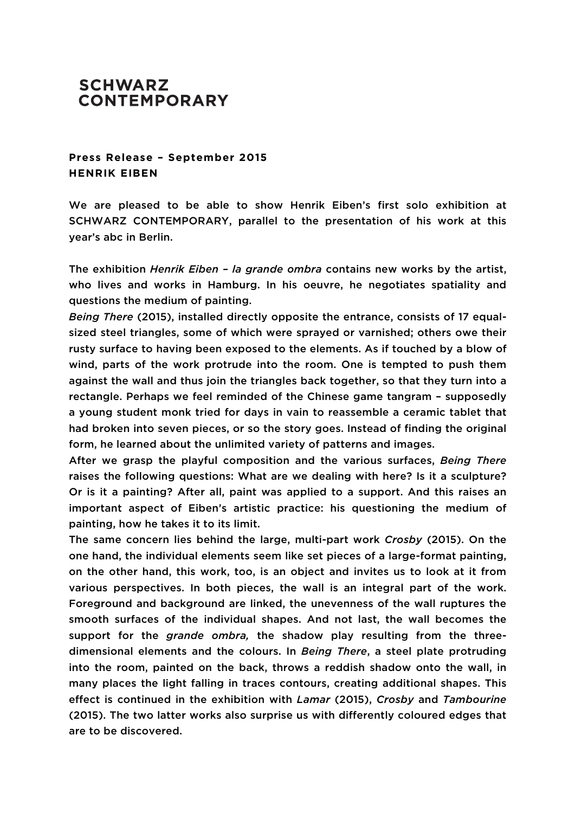## **SCHWARZ CONTEMPORARY**

**Press Release – September 2015 HENRIK EIBEN**

We are pleased to be able to show Henrik Eiben's first solo exhibition at SCHWARZ CONTEMPORARY, parallel to the presentation of his work at this year's abc in Berlin.

The exhibition *Henrik Eiben – la grande ombra* contains new works by the artist, who lives and works in Hamburg. In his oeuvre, he negotiates spatiality and questions the medium of painting.

*Being There* (2015), installed directly opposite the entrance, consists of 17 equalsized steel triangles, some of which were sprayed or varnished; others owe their rusty surface to having been exposed to the elements. As if touched by a blow of wind, parts of the work protrude into the room. One is tempted to push them against the wall and thus join the triangles back together, so that they turn into a rectangle. Perhaps we feel reminded of the Chinese game tangram – supposedly a young student monk tried for days in vain to reassemble a ceramic tablet that had broken into seven pieces, or so the story goes. Instead of finding the original form, he learned about the unlimited variety of patterns and images.

After we grasp the playful composition and the various surfaces, *Being There* raises the following questions: What are we dealing with here? Is it a sculpture? Or is it a painting? After all, paint was applied to a support. And this raises an important aspect of Eiben's artistic practice: his questioning the medium of painting, how he takes it to its limit.

The same concern lies behind the large, multi-part work *Crosby* (2015). On the one hand, the individual elements seem like set pieces of a large-format painting, on the other hand, this work, too, is an object and invites us to look at it from various perspectives. In both pieces, the wall is an integral part of the work. Foreground and background are linked, the unevenness of the wall ruptures the smooth surfaces of the individual shapes. And not last, the wall becomes the support for the *grande ombra,* the shadow play resulting from the threedimensional elements and the colours. In *Being There*, a steel plate protruding into the room, painted on the back, throws a reddish shadow onto the wall, in many places the light falling in traces contours, creating additional shapes. This effect is continued in the exhibition with *Lamar* (2015), *Crosby* and *Tambourine* (2015). The two latter works also surprise us with differently coloured edges that are to be discovered.